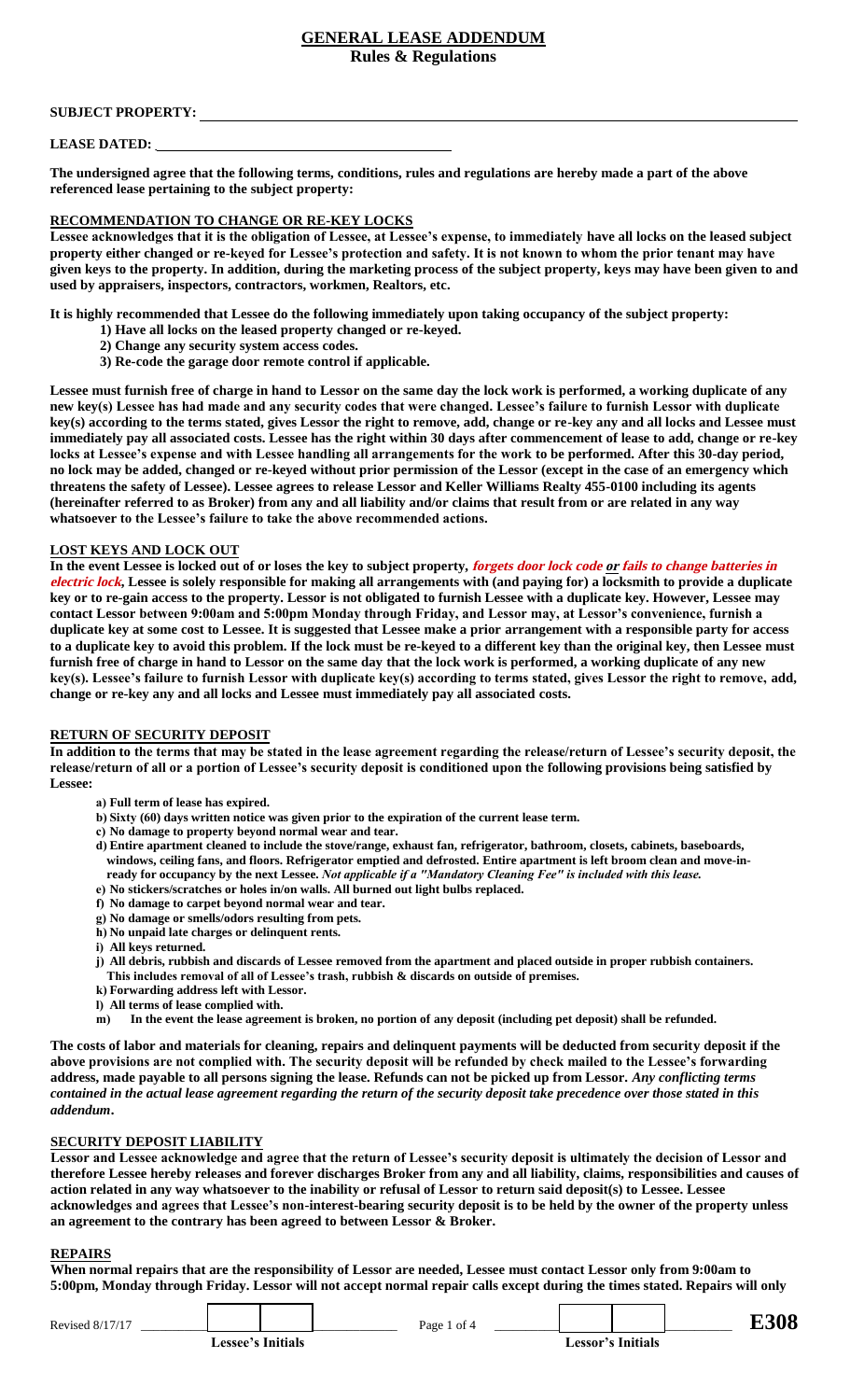## **GENERAL LEASE ADDENDUM Rules & Regulations**

## **SUBJECT PROPERTY:**

#### **LEASE DATED:**

**The undersigned agree that the following terms, conditions, rules and regulations are hereby made a part of the above referenced lease pertaining to the subject property:** 

## **RECOMMENDATION TO CHANGE OR RE-KEY LOCKS**

**Lessee acknowledges that it is the obligation of Lessee, at Lessee's expense, to immediately have all locks on the leased subject property either changed or re-keyed for Lessee's protection and safety. It is not known to whom the prior tenant may have given keys to the property. In addition, during the marketing process of the subject property, keys may have been given to and used by appraisers, inspectors, contractors, workmen, Realtors, etc.** 

**It is highly recommended that Lessee do the following immediately upon taking occupancy of the subject property:** 

- **1) Have all locks on the leased property changed or re-keyed.**
- **2) Change any security system access codes.**
- **3) Re-code the garage door remote control if applicable.**

**Lessee must furnish free of charge in hand to Lessor on the same day the lock work is performed, a working duplicate of any new key(s) Lessee has had made and any security codes that were changed. Lessee's failure to furnish Lessor with duplicate key(s) according to the terms stated, gives Lessor the right to remove, add, change or re-key any and all locks and Lessee must immediately pay all associated costs. Lessee has the right within 30 days after commencement of lease to add, change or re-key locks at Lessee's expense and with Lessee handling all arrangements for the work to be performed. After this 30-day period, no lock may be added, changed or re-keyed without prior permission of the Lessor (except in the case of an emergency which threatens the safety of Lessee). Lessee agrees to release Lessor and Keller Williams Realty 455-0100 including its agents (hereinafter referred to as Broker) from any and all liability and/or claims that result from or are related in any way whatsoever to the Lessee's failure to take the above recommended actions.**

## **LOST KEYS AND LOCK OUT**

**In the event Lessee is locked out of or loses the key to subject property, forgets door lock code or fails to change batteries in electric lock, Lessee is solely responsible for making all arrangements with (and paying for) a locksmith to provide a duplicate key or to re-gain access to the property. Lessor is not obligated to furnish Lessee with a duplicate key. However, Lessee may contact Lessor between 9:00am and 5:00pm Monday through Friday, and Lessor may, at Lessor's convenience, furnish a duplicate key at some cost to Lessee. It is suggested that Lessee make a prior arrangement with a responsible party for access to a duplicate key to avoid this problem. If the lock must be re-keyed to a different key than the original key, then Lessee must furnish free of charge in hand to Lessor on the same day that the lock work is performed, a working duplicate of any new key(s). Lessee's failure to furnish Lessor with duplicate key(s) according to terms stated, gives Lessor the right to remove, add, change or re-key any and all locks and Lessee must immediately pay all associated costs.**

## **RETURN OF SECURITY DEPOSIT**

**In addition to the terms that may be stated in the lease agreement regarding the release/return of Lessee's security deposit, the release/return of all or a portion of Lessee's security deposit is conditioned upon the following provisions being satisfied by Lessee:** 

- **a) Full term of lease has expired.**
- **b) Sixty (60) days written notice was given prior to the expiration of the current lease term.**
- **c) No damage to property beyond normal wear and tear.**
- **d) Entire apartment cleaned to include the stove/range, exhaust fan, refrigerator, bathroom, closets, cabinets, baseboards, windows, ceiling fans, and floors. Refrigerator emptied and defrosted. Entire apartment is left broom clean and move-inready for occupancy by the next Lessee.** *Not applicable if a "Mandatory Cleaning Fee" is included with this lease.*
- **e) No stickers/scratches or holes in/on walls. All burned out light bulbs replaced.**
- **f) No damage to carpet beyond normal wear and tear.**
- **g) No damage or smells/odors resulting from pets.**
- **h) No unpaid late charges or delinquent rents.**
- **i) All keys returned.**
- **j) All debris, rubbish and discards of Lessee removed from the apartment and placed outside in proper rubbish containers. This includes removal of all of Lessee's trash, rubbish & discards on outside of premises.**
- **k) Forwarding address left with Lessor.**
- **l) All terms of lease complied with.**
- **m) In the event the lease agreement is broken, no portion of any deposit (including pet deposit) shall be refunded.**

**The costs of labor and materials for cleaning, repairs and delinquent payments will be deducted from security deposit if the above provisions are not complied with. The security deposit will be refunded by check mailed to the Lessee's forwarding address, made payable to all persons signing the lease. Refunds can not be picked up from Lessor.** *Any conflicting terms contained in the actual lease agreement regarding the return of the security deposit take precedence over those stated in this addendum***.** 

#### **SECURITY DEPOSIT LIABILITY**

**Lessor and Lessee acknowledge and agree that the return of Lessee's security deposit is ultimately the decision of Lessor and therefore Lessee hereby releases and forever discharges Broker from any and all liability, claims, responsibilities and causes of action related in any way whatsoever to the inability or refusal of Lessor to return said deposit(s) to Lessee. Lessee acknowledges and agrees that Lessee's non-interest-bearing security deposit is to be held by the owner of the property unless an agreement to the contrary has been agreed to between Lessor & Broker.** 

#### **REPAIRS**

**When normal repairs that are the responsibility of Lessor are needed, Lessee must contact Lessor only from 9:00am to 5:00pm, Monday through Friday. Lessor will not accept normal repair calls except during the times stated. Repairs will only** 

| Revised 8/17/17   |  |                   |  | Page 1 of 4 |  |  |  |  | F.308 |
|-------------------|--|-------------------|--|-------------|--|--|--|--|-------|
| Lessee's Initials |  | Lessor's Initials |  |             |  |  |  |  |       |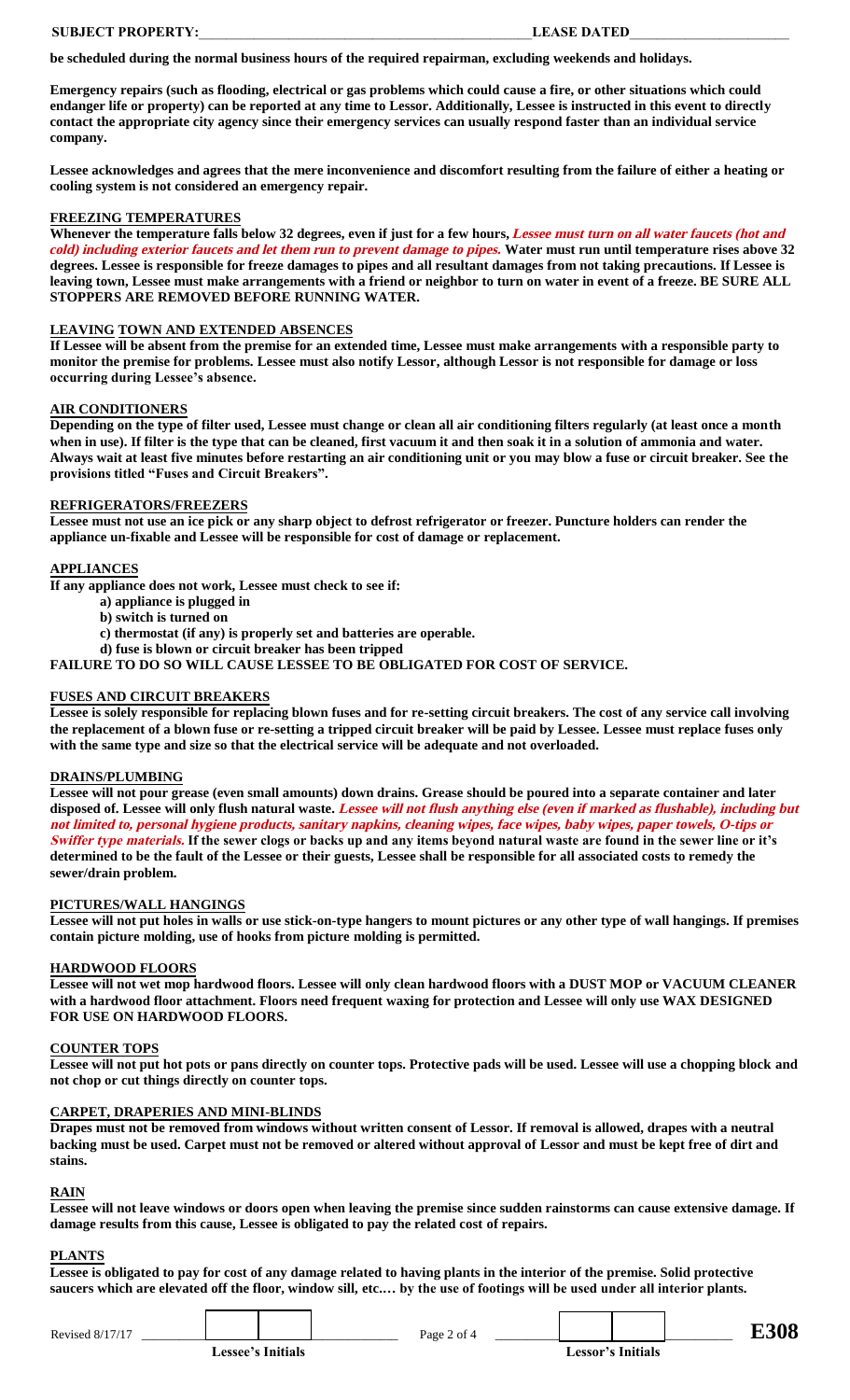**be scheduled during the normal business hours of the required repairman, excluding weekends and holidays.** 

**Emergency repairs (such as flooding, electrical or gas problems which could cause a fire, or other situations which could endanger life or property) can be reported at any time to Lessor. Additionally, Lessee is instructed in this event to directly contact the appropriate city agency since their emergency services can usually respond faster than an individual service company.** 

**Lessee acknowledges and agrees that the mere inconvenience and discomfort resulting from the failure of either a heating or cooling system is not considered an emergency repair.** 

#### **FREEZING TEMPERATURES**

**Whenever the temperature falls below 32 degrees, even if just for a few hours, Lessee must turn on all water faucets (hot and cold) including exterior faucets and let them run to prevent damage to pipes. Water must run until temperature rises above 32 degrees. Lessee is responsible for freeze damages to pipes and all resultant damages from not taking precautions. If Lessee is leaving town, Lessee must make arrangements with a friend or neighbor to turn on water in event of a freeze. BE SURE ALL STOPPERS ARE REMOVED BEFORE RUNNING WATER.** 

#### **LEAVING TOWN AND EXTENDED ABSENCES**

**If Lessee will be absent from the premise for an extended time, Lessee must make arrangements with a responsible party to monitor the premise for problems. Lessee must also notify Lessor, although Lessor is not responsible for damage or loss occurring during Lessee's absence.**

#### **AIR CONDITIONERS**

**Depending on the type of filter used, Lessee must change or clean all air conditioning filters regularly (at least once a month when in use). If filter is the type that can be cleaned, first vacuum it and then soak it in a solution of ammonia and water. Always wait at least five minutes before restarting an air conditioning unit or you may blow a fuse or circuit breaker. See the provisions titled "Fuses and Circuit Breakers".**

## **REFRIGERATORS/FREEZERS**

**Lessee must not use an ice pick or any sharp object to defrost refrigerator or freezer. Puncture holders can render the appliance un-fixable and Lessee will be responsible for cost of damage or replacement.** 

### **APPLIANCES**

**If any appliance does not work, Lessee must check to see if:** 

- **a) appliance is plugged in**
- **b) switch is turned on**

**c) thermostat (if any) is properly set and batteries are operable.**

**d) fuse is blown or circuit breaker has been tripped**

**FAILURE TO DO SO WILL CAUSE LESSEE TO BE OBLIGATED FOR COST OF SERVICE.** 

#### **FUSES AND CIRCUIT BREAKERS**

**Lessee is solely responsible for replacing blown fuses and for re-setting circuit breakers. The cost of any service call involving the replacement of a blown fuse or re-setting a tripped circuit breaker will be paid by Lessee. Lessee must replace fuses only with the same type and size so that the electrical service will be adequate and not overloaded.** 

#### **DRAINS/PLUMBING**

**Lessee will not pour grease (even small amounts) down drains. Grease should be poured into a separate container and later disposed of. Lessee will only flush natural waste. Lessee will not flush anything else (even if marked as flushable), including but not limited to, personal hygiene products, sanitary napkins, cleaning wipes, face wipes, baby wipes, paper towels, O-tips or Swiffer type materials. If the sewer clogs or backs up and any items beyond natural waste are found in the sewer line or it's determined to be the fault of the Lessee or their guests, Lessee shall be responsible for all associated costs to remedy the sewer/drain problem.** 

#### **PICTURES/WALL HANGINGS**

**Lessee will not put holes in walls or use stick-on-type hangers to mount pictures or any other type of wall hangings. If premises contain picture molding, use of hooks from picture molding is permitted.** 

#### **HARDWOOD FLOORS**

**Lessee will not wet mop hardwood floors. Lessee will only clean hardwood floors with a DUST MOP or VACUUM CLEANER with a hardwood floor attachment. Floors need frequent waxing for protection and Lessee will only use WAX DESIGNED FOR USE ON HARDWOOD FLOORS.** 

#### **COUNTER TOPS**

**Lessee will not put hot pots or pans directly on counter tops. Protective pads will be used. Lessee will use a chopping block and not chop or cut things directly on counter tops.** 

#### **CARPET, DRAPERIES AND MINI-BLINDS**

**Drapes must not be removed from windows without written consent of Lessor. If removal is allowed, drapes with a neutral backing must be used. Carpet must not be removed or altered without approval of Lessor and must be kept free of dirt and stains.** 

#### **RAIN**

**Lessee will not leave windows or doors open when leaving the premise since sudden rainstorms can cause extensive damage. If damage results from this cause, Lessee is obligated to pay the related cost of repairs.** 

#### **PLANTS**

**Lessee is obligated to pay for cost of any damage related to having plants in the interior of the premise. Solid protective saucers which are elevated off the floor, window sill, etc.… by the use of footings will be used under all interior plants.** 

| Revis<br>. |  | Page<br>$\Omega$ T $\Omega$ |  |  |  |  |
|------------|--|-----------------------------|--|--|--|--|
|------------|--|-----------------------------|--|--|--|--|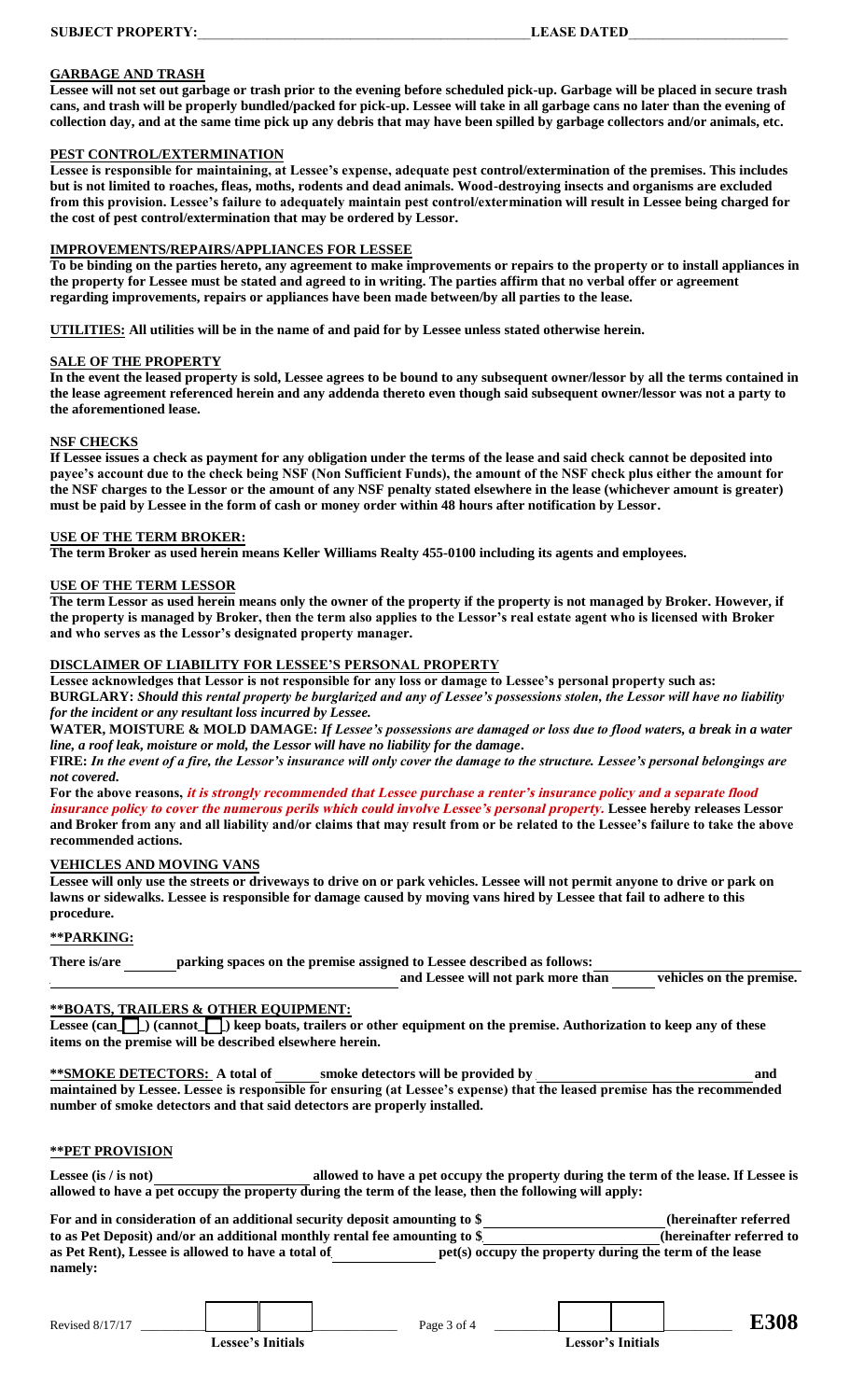#### **GARBAGE AND TRASH**

**Lessee will not set out garbage or trash prior to the evening before scheduled pick-up. Garbage will be placed in secure trash cans, and trash will be properly bundled/packed for pick-up. Lessee will take in all garbage cans no later than the evening of collection day, and at the same time pick up any debris that may have been spilled by garbage collectors and/or animals, etc.**

#### **PEST CONTROL/EXTERMINATION**

**Lessee is responsible for maintaining, at Lessee's expense, adequate pest control/extermination of the premises. This includes but is not limited to roaches, fleas, moths, rodents and dead animals. Wood-destroying insects and organisms are excluded from this provision. Lessee's failure to adequately maintain pest control/extermination will result in Lessee being charged for the cost of pest control/extermination that may be ordered by Lessor.** 

#### **IMPROVEMENTS/REPAIRS/APPLIANCES FOR LESSEE**

**To be binding on the parties hereto, any agreement to make improvements or repairs to the property or to install appliances in the property for Lessee must be stated and agreed to in writing. The parties affirm that no verbal offer or agreement regarding improvements, repairs or appliances have been made between/by all parties to the lease.** 

**UTILITIES: All utilities will be in the name of and paid for by Lessee unless stated otherwise herein.** 

#### **SALE OF THE PROPERTY**

**In the event the leased property is sold, Lessee agrees to be bound to any subsequent owner/lessor by all the terms contained in the lease agreement referenced herein and any addenda thereto even though said subsequent owner/lessor was not a party to the aforementioned lease.** 

#### **NSF CHECKS**

**If Lessee issues a check as payment for any obligation under the terms of the lease and said check cannot be deposited into payee's account due to the check being NSF (Non Sufficient Funds), the amount of the NSF check plus either the amount for the NSF charges to the Lessor or the amount of any NSF penalty stated elsewhere in the lease (whichever amount is greater) must be paid by Lessee in the form of cash or money order within 48 hours after notification by Lessor.** 

#### **USE OF THE TERM BROKER:**

**The term Broker as used herein means Keller Williams Realty 455-0100 including its agents and employees.** 

#### **USE OF THE TERM LESSOR**

**The term Lessor as used herein means only the owner of the property if the property is not managed by Broker. However, if the property is managed by Broker, then the term also applies to the Lessor's real estate agent who is licensed with Broker and who serves as the Lessor's designated property manager.**

#### **DISCLAIMER OF LIABILITY FOR LESSEE'S PERSONAL PROPERTY**

**Lessee acknowledges that Lessor is not responsible for any loss or damage to Lessee's personal property such as: BURGLARY:** *Should this rental property be burglarized and any of Lessee's possessions stolen, the Lessor will have no liability for the incident or any resultant loss incurred by Lessee.* 

**WATER, MOISTURE & MOLD DAMAGE:** *If Lessee's possessions are damaged or loss due to flood waters, a break in a water line, a roof leak, moisture or mold, the Lessor will have no liability for the damage***.** 

**FIRE:** *In the event of a fire, the Lessor's insurance will only cover the damage to the structure. Lessee's personal belongings are not covered***.** 

**For the above reasons, it is strongly recommended that Lessee purchase a renter's insurance policy and a separate flood** 

**insurance policy to cover the numerous perils which could involve Lessee's personal property. Lessee hereby releases Lessor and Broker from any and all liability and/or claims that may result from or be related to the Lessee's failure to take the above recommended actions.** 

## **VEHICLES AND MOVING VANS**

**Lessee will only use the streets or driveways to drive on or park vehicles. Lessee will not permit anyone to drive or park on lawns or sidewalks. Lessee is responsible for damage caused by moving vans hired by Lessee that fail to adhere to this procedure.** 

## **\*\*PARKING:**

| There is/are | parking spaces on the premise assigned to Lessee described as follows: |                                    |                          |
|--------------|------------------------------------------------------------------------|------------------------------------|--------------------------|
|              |                                                                        | and Lessee will not park more than | vehicles on the premise. |

#### **\*\*BOATS, TRAILERS & OTHER EQUIPMENT:**

**Lessee (can\_\_\_\_) (cannot\_\_\_\_) keep boats, trailers or other equipment on the premise. Authorization to keep any of these items on the premise will be described elsewhere herein.** 

**\*\*SMOKE DETECTORS:** A total of \_\_\_\_\_ smoke detectors will be provided by  $\qquad$  and  $\qquad$ **maintained by Lessee. Lessee is responsible for ensuring (at Lessee's expense) that the leased premise has the recommended number of smoke detectors and that said detectors are properly installed.** 

## **\*\*PET PROVISION**

Lessee (is / is not) **allowed to have a pet occupy the property during the term of the lease. If Lessee is allowed to have a pet occupy the property during the term of the lease, then the following will apply:** 

| For and in consideration of an additional security deposit amounting to \$ | (hereinafter referred)                                  |  |
|----------------------------------------------------------------------------|---------------------------------------------------------|--|
| to as Pet Deposit) and/or an additional monthly rental fee amounting to \$ | (hereinafter referred to                                |  |
| as Pet Rent), Lessee is allowed to have a total of                         | pet(s) occupy the property during the term of the lease |  |
| namely:                                                                    |                                                         |  |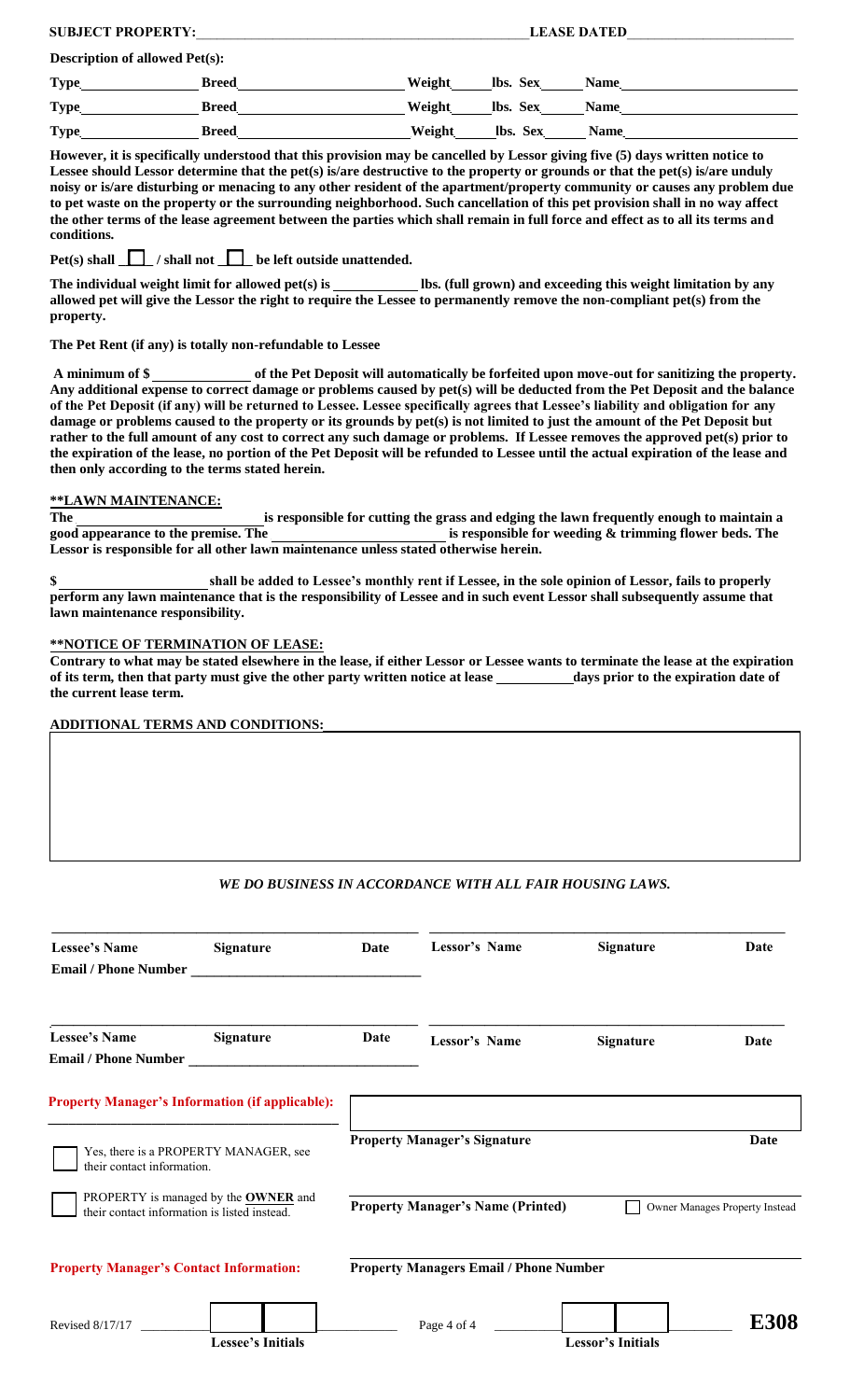| <b>SUBJECT PROPERTY:</b>              |              | <b>LEASE DATED</b>                |
|---------------------------------------|--------------|-----------------------------------|
| <b>Description of allowed Pet(s):</b> |              |                                   |
| <b>Type</b>                           | <b>Breed</b> | Weight<br>lbs. Sex<br><b>Name</b> |
| <b>Type</b>                           | <b>Breed</b> | Weight<br>lbs. Sex<br><b>Name</b> |
| <b>Type</b>                           | <b>Breed</b> | Weight<br>lbs. Sex<br><b>Name</b> |

**However, it is specifically understood that this provision may be cancelled by Lessor giving five (5) days written notice to Lessee should Lessor determine that the pet(s) is/are destructive to the property or grounds or that the pet(s) is/are unduly noisy or is/are disturbing or menacing to any other resident of the apartment/property community or causes any problem due to pet waste on the property or the surrounding neighborhood. Such cancellation of this pet provision shall in no way affect the other terms of the lease agreement between the parties which shall remain in full force and effect as to all its terms and conditions.** 

Pet(s) shall  $\Box$  / shall not  $\Box$  be left outside unattended.

The individual weight limit for allowed pet(s) is \_\_\_\_\_\_\_\_\_\_\_\_\_\_ lbs. (full grown) and exceeding this weight limitation by any allowed pet will give the Lessor the right to require the Lessee to permanently remove the non-compliant pet(s) from the **property.** 

## **The Pet Rent (if any) is totally non-refundable to Lessee**

 **A minimum of \$ \_\_\_\_\_\_\_\_\_\_\_\_\_\_ of the Pet Deposit will automatically be forfeited upon move-out for sanitizing the property. Any additional expense to correct damage or problems caused by pet(s) will be deducted from the Pet Deposit and the balance of the Pet Deposit (if any) will be returned to Lessee. Lessee specifically agrees that Lessee's liability and obligation for any damage or problems caused to the property or its grounds by pet(s) is not limited to just the amount of the Pet Deposit but rather to the full amount of any cost to correct any such damage or problems. If Lessee removes the approved pet(s) prior to the expiration of the lease, no portion of the Pet Deposit will be refunded to Lessee until the actual expiration of the lease and then only according to the terms stated herein.** 

## **\*\*LAWN MAINTENANCE:**

The <u>seponsible for cutting the grass and edging the lawn frequently enough to maintain a good appearance to the premise. The seponsible for weeding & trimming flower beds. The</u> is responsible for weeding & trimming flower beds. The **Lessor is responsible for all other lawn maintenance unless stated otherwise herein.** 

**\$ \_\_\_\_\_\_\_\_\_\_\_\_\_\_\_\_\_\_\_\_\_ shall be added to Lessee's monthly rent if Lessee, in the sole opinion of Lessor, fails to properly perform any lawn maintenance that is the responsibility of Lessee and in such event Lessor shall subsequently assume that lawn maintenance responsibility.** 

#### **\*\*NOTICE OF TERMINATION OF LEASE:**

**Contrary to what may be stated elsewhere in the lease, if either Lessor or Lessee wants to terminate the lease at the expiration of its term, then that party must give the other party written notice at lease \_\_\_\_\_\_\_\_\_\_\_days prior to the expiration date of the current lease term.** 

 $\mathcal{L}_\mathcal{L} = \{ \mathcal{L}_\mathcal{L} = \{ \mathcal{L}_\mathcal{L} = \{ \mathcal{L}_\mathcal{L} = \{ \mathcal{L}_\mathcal{L} = \{ \mathcal{L}_\mathcal{L} = \{ \mathcal{L}_\mathcal{L} = \{ \mathcal{L}_\mathcal{L} = \{ \mathcal{L}_\mathcal{L} = \{ \mathcal{L}_\mathcal{L} = \{ \mathcal{L}_\mathcal{L} = \{ \mathcal{L}_\mathcal{L} = \{ \mathcal{L}_\mathcal{L} = \{ \mathcal{L}_\mathcal{L} = \{ \mathcal{L}_\mathcal{$ 

#### **ADDITIONAL TERMS AND CONDITIONS:\_\_\_\_\_\_\_\_\_\_\_\_\_\_\_\_\_\_\_\_\_\_\_\_\_\_\_\_\_\_\_\_\_\_\_\_\_\_\_\_\_\_\_\_\_\_\_\_\_\_\_\_\_\_\_\_\_\_\_\_\_\_\_\_\_\_\_\_**

## *WE DO BUSINESS IN ACCORDANCE WITH ALL FAIR HOUSING LAWS.*

| <b>Lessee's Name</b><br><b>Email / Phone Number</b>                                         | Signature                                              | <b>Date</b> | Lessor's Name                                 | Signature                | Date                           |
|---------------------------------------------------------------------------------------------|--------------------------------------------------------|-------------|-----------------------------------------------|--------------------------|--------------------------------|
| <b>Lessee's Name</b><br><b>Email / Phone Number</b>                                         | Signature                                              | Date        | <b>Lessor's Name</b>                          | <b>Signature</b>         | Date                           |
|                                                                                             | <b>Property Manager's Information (if applicable):</b> |             | <b>Property Manager's Signature</b>           |                          | <b>Date</b>                    |
| their contact information.                                                                  | Yes, there is a PROPERTY MANAGER, see                  |             |                                               |                          |                                |
| PROPERTY is managed by the <b>OWNER</b> and<br>their contact information is listed instead. |                                                        |             | <b>Property Manager's Name (Printed)</b>      |                          | Owner Manages Property Instead |
| <b>Property Manager's Contact Information:</b>                                              |                                                        |             | <b>Property Managers Email / Phone Number</b> |                          |                                |
| Revised 8/17/17                                                                             | <b>Lessee's Initials</b>                               |             | Page 4 of 4                                   | <b>Lessor's Initials</b> | E308                           |